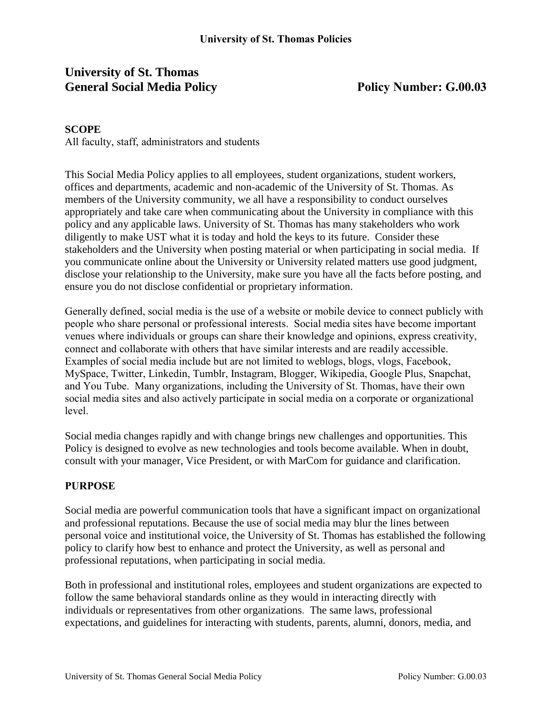# **University of St. Thomas General Social Media Policy Policy Number: G.00.03**

#### **SCOPE**

All faculty, staff, administrators and students

This Social Media Policy applies to all employees, student organizations, student workers, offices and departments, academic and non-academic of the University of St. Thomas. As members of the University community, we all have a responsibility to conduct ourselves appropriately and take care when communicating about the University in compliance with this policy and any applicable laws. University of St. Thomas has many stakeholders who work diligently to make UST what it is today and hold the keys to its future. Consider these stakeholders and the University when posting material or when participating in social media. If you communicate online about the University or University related matters use good judgment, disclose your relationship to the University, make sure you have all the facts before posting, and ensure you do not disclose confidential or proprietary information.

Generally defined, social media is the use of a website or mobile device to connect publicly with people who share personal or professional interests. Social media sites have become important venues where individuals or groups can share their knowledge and opinions, express creativity, connect and collaborate with others that have similar interests and are readily accessible. Examples of social media include but are not limited to weblogs, blogs, vlogs, Facebook, MySpace, Twitter, Linkedin, Tumblr, Instagram, Blogger, Wikipedia, Google Plus, Snapchat, and You Tube. Many organizations, including the University of St. Thomas, have their own social media sites and also actively participate in social media on a corporate or organizational level.

Social media changes rapidly and with change brings new challenges and opportunities. This Policy is designed to evolve as new technologies and tools become available. When in doubt, consult with your manager, Vice President, or with MarCom for guidance and clarification.

#### **PURPOSE**

Social media are powerful communication tools that have a significant impact on organizational and professional reputations. Because the use of social media may blur the lines between personal voice and institutional voice, the University of St. Thomas has established the following policy to clarify how best to enhance and protect the University, as well as personal and professional reputations, when participating in social media.

Both in professional and institutional roles, employees and student organizations are expected to follow the same behavioral standards online as they would in interacting directly with individuals or representatives from other organizations. The same laws, professional expectations, and guidelines for interacting with students, parents, alumni, donors, media, and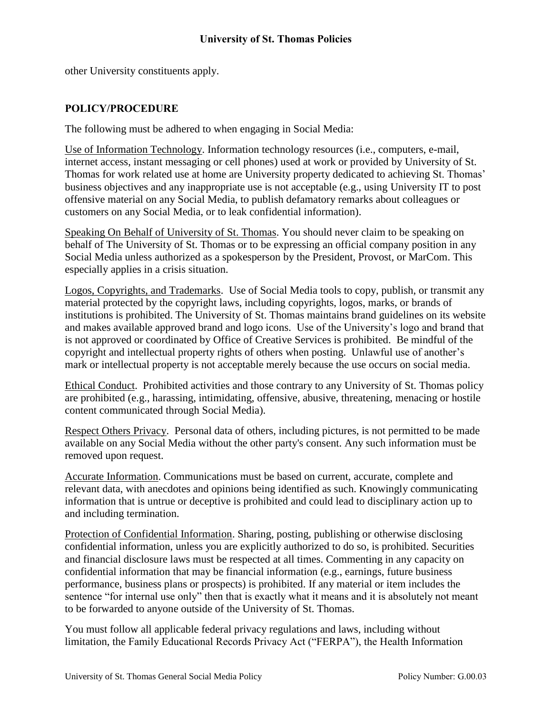other University constituents apply.

#### **POLICY/PROCEDURE**

The following must be adhered to when engaging in Social Media:

Use of Information Technology. Information technology resources (i.e., computers, e-mail, internet access, instant messaging or cell phones) used at work or provided by University of St. Thomas for work related use at home are University property dedicated to achieving St. Thomas' business objectives and any inappropriate use is not acceptable (e.g., using University IT to post offensive material on any Social Media, to publish defamatory remarks about colleagues or customers on any Social Media, or to leak confidential information).

Speaking On Behalf of University of St. Thomas. You should never claim to be speaking on behalf of The University of St. Thomas or to be expressing an official company position in any Social Media unless authorized as a spokesperson by the President, Provost, or MarCom. This especially applies in a crisis situation.

Logos, Copyrights, and Trademarks. Use of Social Media tools to copy, publish, or transmit any material protected by the copyright laws, including copyrights, logos, marks, or brands of institutions is prohibited. The University of St. Thomas maintains brand guidelines on its website and makes available approved brand and logo icons. Use of the University's logo and brand that is not approved or coordinated by Office of Creative Services is prohibited. Be mindful of the copyright and intellectual property rights of others when posting. Unlawful use of another's mark or intellectual property is not acceptable merely because the use occurs on social media.

Ethical Conduct. Prohibited activities and those contrary to any University of St. Thomas policy are prohibited (e.g., harassing, intimidating, offensive, abusive, threatening, menacing or hostile content communicated through Social Media).

Respect Others Privacy. Personal data of others, including pictures, is not permitted to be made available on any Social Media without the other party's consent. Any such information must be removed upon request.

Accurate Information. Communications must be based on current, accurate, complete and relevant data, with anecdotes and opinions being identified as such. Knowingly communicating information that is untrue or deceptive is prohibited and could lead to disciplinary action up to and including termination.

Protection of Confidential Information. Sharing, posting, publishing or otherwise disclosing confidential information, unless you are explicitly authorized to do so, is prohibited. Securities and financial disclosure laws must be respected at all times. Commenting in any capacity on confidential information that may be financial information (e.g., earnings, future business performance, business plans or prospects) is prohibited. If any material or item includes the sentence "for internal use only" then that is exactly what it means and it is absolutely not meant to be forwarded to anyone outside of the University of St. Thomas.

You must follow all applicable federal privacy regulations and laws, including without limitation, the Family Educational Records Privacy Act ("FERPA"), the Health Information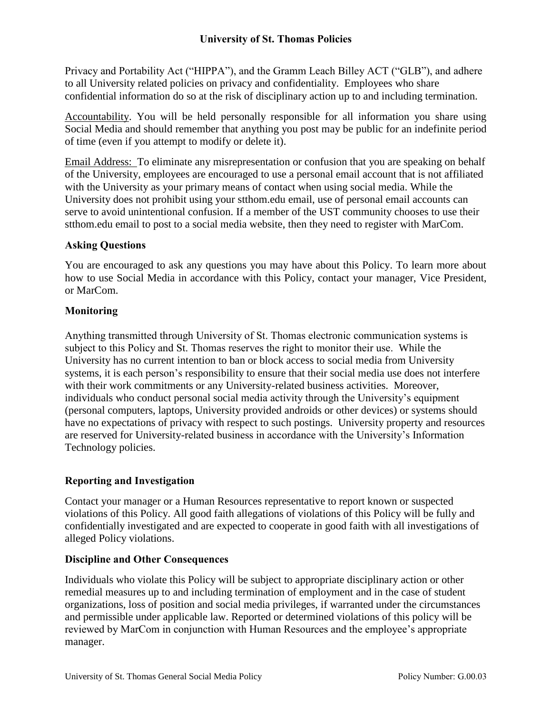Privacy and Portability Act ("HIPPA"), and the Gramm Leach Billey ACT ("GLB"), and adhere to all University related policies on privacy and confidentiality. Employees who share confidential information do so at the risk of disciplinary action up to and including termination.

Accountability. You will be held personally responsible for all information you share using Social Media and should remember that anything you post may be public for an indefinite period of time (even if you attempt to modify or delete it).

Email Address: To eliminate any misrepresentation or confusion that you are speaking on behalf of the University, employees are encouraged to use a personal email account that is not affiliated with the University as your primary means of contact when using social media. While the University does not prohibit using your stthom.edu email, use of personal email accounts can serve to avoid unintentional confusion. If a member of the UST community chooses to use their stthom.edu email to post to a social media website, then they need to register with MarCom.

## **Asking Questions**

You are encouraged to ask any questions you may have about this Policy. To learn more about how to use Social Media in accordance with this Policy, contact your manager, Vice President, or MarCom.

## **Monitoring**

Anything transmitted through University of St. Thomas electronic communication systems is subject to this Policy and St. Thomas reserves the right to monitor their use. While the University has no current intention to ban or block access to social media from University systems, it is each person's responsibility to ensure that their social media use does not interfere with their work commitments or any University-related business activities. Moreover, individuals who conduct personal social media activity through the University's equipment (personal computers, laptops, University provided androids or other devices) or systems should have no expectations of privacy with respect to such postings. University property and resources are reserved for University-related business in accordance with the University's Information Technology policies.

## **Reporting and Investigation**

Contact your manager or a Human Resources representative to report known or suspected violations of this Policy. All good faith allegations of violations of this Policy will be fully and confidentially investigated and are expected to cooperate in good faith with all investigations of alleged Policy violations.

### **Discipline and Other Consequences**

Individuals who violate this Policy will be subject to appropriate disciplinary action or other remedial measures up to and including termination of employment and in the case of student organizations, loss of position and social media privileges, if warranted under the circumstances and permissible under applicable law. Reported or determined violations of this policy will be reviewed by MarCom in conjunction with Human Resources and the employee's appropriate manager.